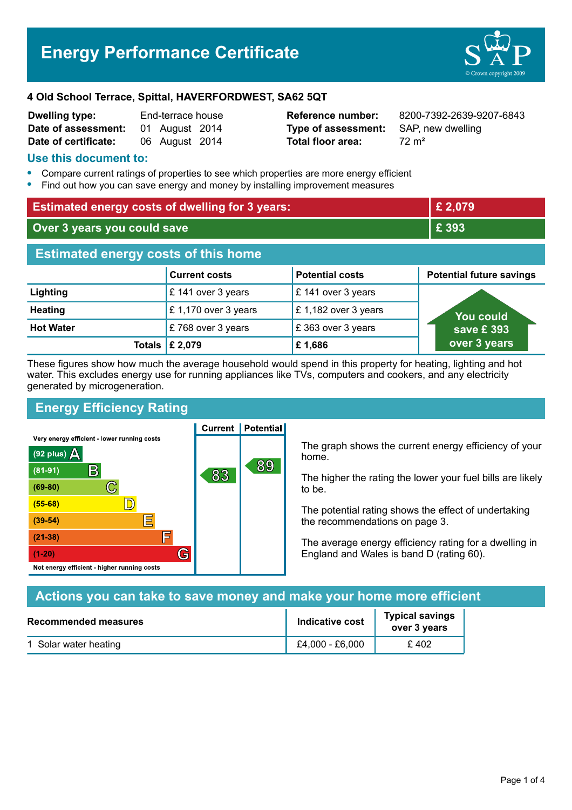Page 1 of 4

# **4 Old School Terrace, Spittal, HAVERFORDWEST, SA62 5QT**

| <b>Dwelling type:</b> | End-terrace house |                |  |
|-----------------------|-------------------|----------------|--|
| Date of assessment:   |                   | 01 August 2014 |  |
| Date of certificate:  |                   | 06 August 2014 |  |

# **Type of assessment:** SAP, new dwelling **Total floor area:** 72 m<sup>2</sup>

**Reference number:** 8200-7392-2639-9207-6843

# **Use this document to:**

- **•** Compare current ratings of properties to see which properties are more energy efficient
- **•** Find out how you can save energy and money by installing improvement measures

| <b>Estimated energy costs of dwelling for 3 years:</b> |                           | £ 2,079                |                                 |
|--------------------------------------------------------|---------------------------|------------------------|---------------------------------|
| Over 3 years you could save                            |                           |                        | £ 393                           |
| <b>Estimated energy costs of this home</b>             |                           |                        |                                 |
|                                                        | <b>Current costs</b>      | <b>Potential costs</b> | <b>Potential future savings</b> |
| Lighting                                               | £ 141 over 3 years        | £ 141 over 3 years     |                                 |
| <b>Heating</b>                                         | £1,170 over 3 years       | £1,182 over 3 years    | <b>You could</b>                |
| <b>Hot Water</b>                                       | £768 over 3 years         | £363 over 3 years      | save £393                       |
|                                                        | Totals $\mathsf{E}$ 2,079 | £1,686                 | over 3 years                    |

These figures show how much the average household would spend in this property for heating, lighting and hot water. This excludes energy use for running appliances like TVs, computers and cookers, and any electricity generated by microgeneration.

# **Energy Efficiency Rating**

Very energy efficient - lower running costs



The graph shows the current energy efficiency of your home.

The higher the rating the lower your fuel bills are likely to be.

The potential rating shows the effect of undertaking the recommendations on page 3.

The average energy efficiency rating for a dwelling in England and Wales is band D (rating 60).

| Actions you can take to save money and make your home more efficient |                        |                                        |  |
|----------------------------------------------------------------------|------------------------|----------------------------------------|--|
| <b>Recommended measures</b>                                          | <b>Indicative cost</b> | <b>Typical savings</b><br>over 3 years |  |
| 1 Solar water heating                                                | £4,000 - £6,000        | £402                                   |  |



**Current | Potential** 

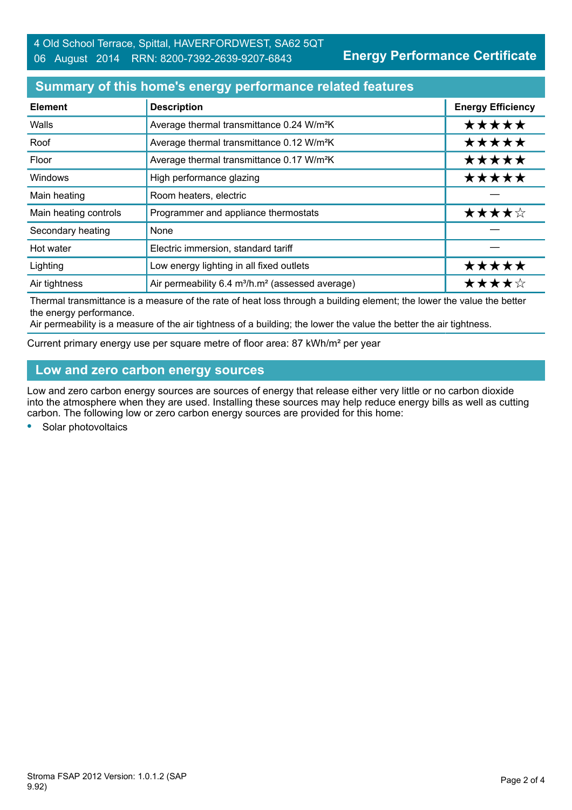### **Summary of this home's energy performance related features**

| <b>Element</b>        | <b>Description</b>                                                       | <b>Energy Efficiency</b> |
|-----------------------|--------------------------------------------------------------------------|--------------------------|
| Walls                 | Average thermal transmittance 0.24 W/m <sup>2</sup> K                    | *****                    |
| Roof                  | Average thermal transmittance 0.12 W/m <sup>2</sup> K                    | *****                    |
| Floor                 | Average thermal transmittance 0.17 W/m <sup>2</sup> K                    | *****                    |
| Windows               | High performance glazing                                                 | *****                    |
| Main heating          | Room heaters, electric                                                   |                          |
| Main heating controls | Programmer and appliance thermostats                                     | ★★★★☆                    |
| Secondary heating     | None                                                                     |                          |
| Hot water             | Electric immersion, standard tariff                                      |                          |
| Lighting              | Low energy lighting in all fixed outlets                                 | *****                    |
| Air tightness         | Air permeability 6.4 m <sup>3</sup> /h.m <sup>2</sup> (assessed average) | ★★★★☆                    |

Thermal transmittance is a measure of the rate of heat loss through a building element; the lower the value the better the energy performance.

Air permeability is a measure of the air tightness of a building; the lower the value the better the air tightness.

Current primary energy use per square metre of floor area: 87 kWh/m² per year

# **Low and zero carbon energy sources**

Low and zero carbon energy sources are sources of energy that release either very little or no carbon dioxide into the atmosphere when they are used. Installing these sources may help reduce energy bills as well as cutting carbon. The following low or zero carbon energy sources are provided for this home:

**•** Solar photovoltaics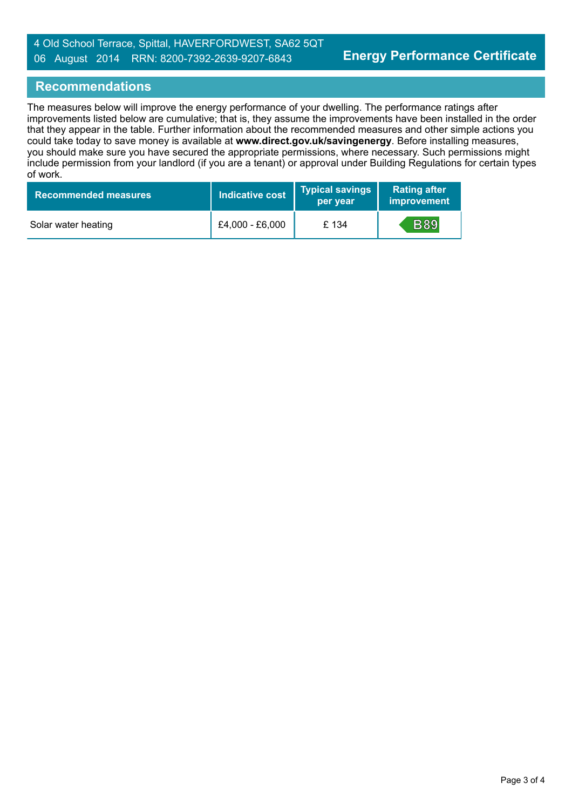#### **Recommendations**

The measures below will improve the energy performance of your dwelling. The performance ratings after improvements listed below are cumulative; that is, they assume the improvements have been installed in the order that they appear in the table. Further information about the recommended measures and other simple actions you could take today to save money is available at **www.direct.gov.uk/savingenergy**. Before installing measures, you should make sure you have secured the appropriate permissions, where necessary. Such permissions might include permission from your landlord (if you are a tenant) or approval under Building Regulations for certain types of work.

| <b>Recommended measures</b> | <b>Indicative cost</b> | <b>Typical savings</b><br>per year | <b>Rating after</b><br>improvement |
|-----------------------------|------------------------|------------------------------------|------------------------------------|
| Solar water heating         | £4,000 - £6,000        | £ 134                              | <b>B89</b>                         |